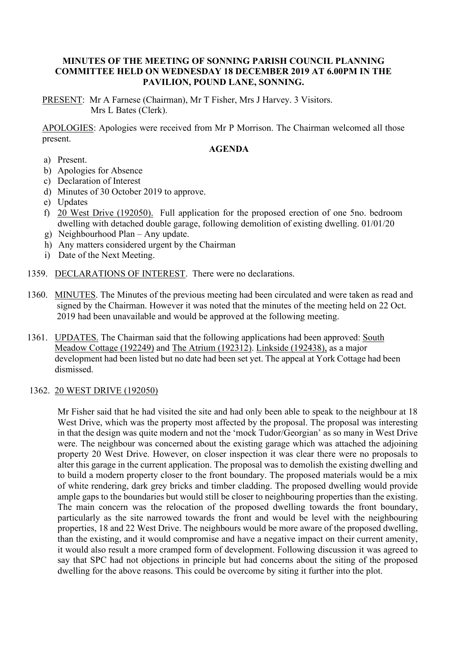# **MINUTES OF THE MEETING OF SONNING PARISH COUNCIL PLANNING COMMITTEE HELD ON WEDNESDAY 18 DECEMBER 2019 AT 6.00PM IN THE PAVILION, POUND LANE, SONNING.**

PRESENT: Mr A Farnese (Chairman), Mr T Fisher, Mrs J Harvey. 3 Visitors. Mrs L Bates (Clerk).

APOLOGIES: Apologies were received from Mr P Morrison. The Chairman welcomed all those present.

# **AGENDA**

- a) Present.
- b) Apologies for Absence
- c) Declaration of Interest
- d) Minutes of 30 October 2019 to approve.
- e) Updates
- f) 20 West Drive (192050). Full application for the proposed erection of one 5no. bedroom dwelling with detached double garage, following demolition of existing dwelling. 01/01/20
- g) Neighbourhood Plan Any update.
- h) Any matters considered urgent by the Chairman
- i) Date of the Next Meeting.
- 1359. DECLARATIONS OF INTEREST. There were no declarations.
- 1360. MINUTES. The Minutes of the previous meeting had been circulated and were taken as read and signed by the Chairman. However it was noted that the minutes of the meeting held on 22 Oct. 2019 had been unavailable and would be approved at the following meeting.
- 1361. UPDATES. The Chairman said that the following applications had been approved: South Meadow Cottage (192249) and The Atrium (192312). Linkside (192438), as a major development had been listed but no date had been set yet. The appeal at York Cottage had been dismissed.

### 1362. 20 WEST DRIVE (192050)

Mr Fisher said that he had visited the site and had only been able to speak to the neighbour at 18 West Drive, which was the property most affected by the proposal. The proposal was interesting in that the design was quite modern and not the 'mock Tudor/Georgian' as so many in West Drive were. The neighbour was concerned about the existing garage which was attached the adjoining property 20 West Drive. However, on closer inspection it was clear there were no proposals to alter this garage in the current application. The proposal was to demolish the existing dwelling and to build a modern property closer to the front boundary. The proposed materials would be a mix of white rendering, dark grey bricks and timber cladding. The proposed dwelling would provide ample gaps to the boundaries but would still be closer to neighbouring properties than the existing. The main concern was the relocation of the proposed dwelling towards the front boundary, particularly as the site narrowed towards the front and would be level with the neighbouring properties, 18 and 22 West Drive. The neighbours would be more aware of the proposed dwelling, than the existing, and it would compromise and have a negative impact on their current amenity, it would also result a more cramped form of development. Following discussion it was agreed to say that SPC had not objections in principle but had concerns about the siting of the proposed dwelling for the above reasons. This could be overcome by siting it further into the plot.